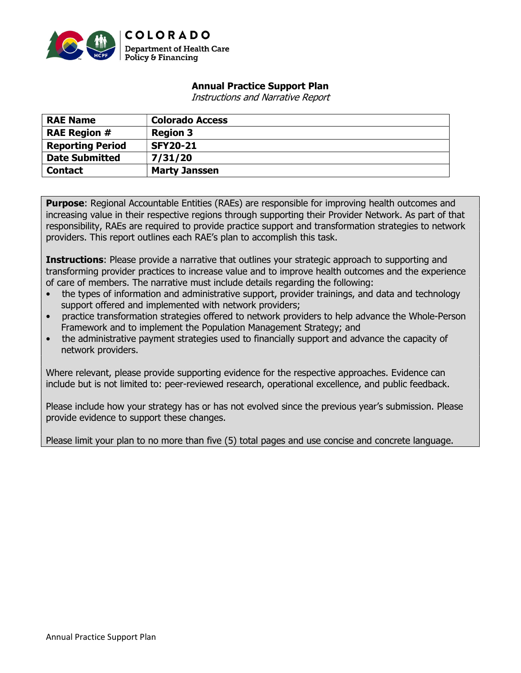

## Annual Practice Support Plan

Instructions and Narrative Report

| <b>RAE Name</b>         | <b>Colorado Access</b> |
|-------------------------|------------------------|
| <b>RAE Region #</b>     | <b>Region 3</b>        |
| <b>Reporting Period</b> | <b>SFY20-21</b>        |
| <b>Date Submitted</b>   | 7/31/20                |
| <b>Contact</b>          | <b>Marty Janssen</b>   |

**Purpose:** Regional Accountable Entities (RAEs) are responsible for improving health outcomes and increasing value in their respective regions through supporting their Provider Network. As part of that responsibility, RAEs are required to provide practice support and transformation strategies to network providers. This report outlines each RAE's plan to accomplish this task.

**Instructions:** Please provide a narrative that outlines your strategic approach to supporting and transforming provider practices to increase value and to improve health outcomes and the experience of care of members. The narrative must include details regarding the following:

- the types of information and administrative support, provider trainings, and data and technology support offered and implemented with network providers;
- practice transformation strategies offered to network providers to help advance the Whole-Person Framework and to implement the Population Management Strategy; and
- the administrative payment strategies used to financially support and advance the capacity of network providers.

Where relevant, please provide supporting evidence for the respective approaches. Evidence can include but is not limited to: peer-reviewed research, operational excellence, and public feedback.

Please include how your strategy has or has not evolved since the previous year's submission. Please provide evidence to support these changes.

Please limit your plan to no more than five (5) total pages and use concise and concrete language.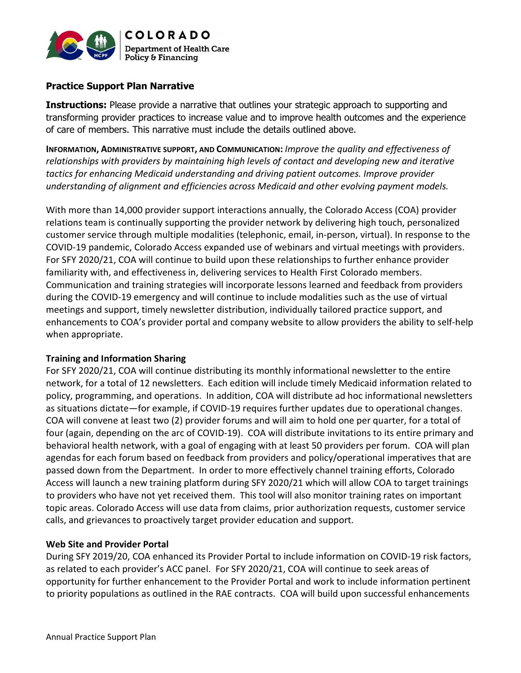

### Practice Support Plan Narrative

**Instructions:** Please provide a narrative that outlines your strategic approach to supporting and transforming provider practices to increase value and to improve health outcomes and the experience of care of members. This narrative must include the details outlined above.

INFORMATION, ADMINISTRATIVE SUPPORT, AND COMMUNICATION: Improve the quality and effectiveness of relationships with providers by maintaining high levels of contact and developing new and iterative tactics for enhancing Medicaid understanding and driving patient outcomes. Improve provider understanding of alignment and efficiencies across Medicaid and other evolving payment models.

With more than 14,000 provider support interactions annually, the Colorado Access (COA) provider relations team is continually supporting the provider network by delivering high touch, personalized customer service through multiple modalities (telephonic, email, in-person, virtual). In response to the COVID-19 pandemic, Colorado Access expanded use of webinars and virtual meetings with providers. For SFY 2020/21, COA will continue to build upon these relationships to further enhance provider familiarity with, and effectiveness in, delivering services to Health First Colorado members. Communication and training strategies will incorporate lessons learned and feedback from providers during the COVID-19 emergency and will continue to include modalities such as the use of virtual meetings and support, timely newsletter distribution, individually tailored practice support, and enhancements to COA's provider portal and company website to allow providers the ability to self-help when appropriate.

#### Training and Information Sharing

For SFY 2020/21, COA will continue distributing its monthly informational newsletter to the entire network, for a total of 12 newsletters. Each edition will include timely Medicaid information related to policy, programming, and operations. In addition, COA will distribute ad hoc informational newsletters as situations dictate—for example, if COVID-19 requires further updates due to operational changes. COA will convene at least two (2) provider forums and will aim to hold one per quarter, for a total of four (again, depending on the arc of COVID-19). COA will distribute invitations to its entire primary and behavioral health network, with a goal of engaging with at least 50 providers per forum. COA will plan agendas for each forum based on feedback from providers and policy/operational imperatives that are passed down from the Department. In order to more effectively channel training efforts, Colorado Access will launch a new training platform during SFY 2020/21 which will allow COA to target trainings to providers who have not yet received them. This tool will also monitor training rates on important topic areas. Colorado Access will use data from claims, prior authorization requests, customer service calls, and grievances to proactively target provider education and support.

#### Web Site and Provider Portal

During SFY 2019/20, COA enhanced its Provider Portal to include information on COVID-19 risk factors, as related to each provider's ACC panel. For SFY 2020/21, COA will continue to seek areas of opportunity for further enhancement to the Provider Portal and work to include information pertinent to priority populations as outlined in the RAE contracts. COA will build upon successful enhancements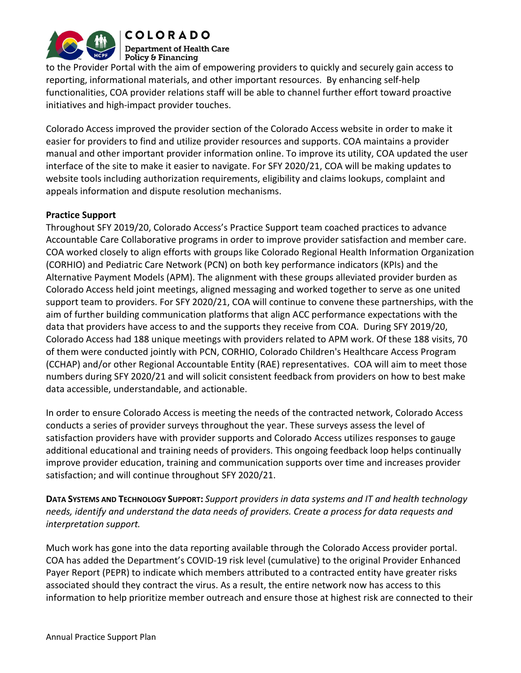

**COLORADO Department of Health Care** 

Policy & Financing

to the Provider Portal with the aim of empowering providers to quickly and securely gain access to reporting, informational materials, and other important resources. By enhancing self-help functionalities, COA provider relations staff will be able to channel further effort toward proactive initiatives and high-impact provider touches.

Colorado Access improved the provider section of the Colorado Access website in order to make it easier for providers to find and utilize provider resources and supports. COA maintains a provider manual and other important provider information online. To improve its utility, COA updated the user interface of the site to make it easier to navigate. For SFY 2020/21, COA will be making updates to website tools including authorization requirements, eligibility and claims lookups, complaint and appeals information and dispute resolution mechanisms.

#### Practice Support

Throughout SFY 2019/20, Colorado Access's Practice Support team coached practices to advance Accountable Care Collaborative programs in order to improve provider satisfaction and member care. COA worked closely to align efforts with groups like Colorado Regional Health Information Organization (CORHIO) and Pediatric Care Network (PCN) on both key performance indicators (KPIs) and the Alternative Payment Models (APM). The alignment with these groups alleviated provider burden as Colorado Access held joint meetings, aligned messaging and worked together to serve as one united support team to providers. For SFY 2020/21, COA will continue to convene these partnerships, with the aim of further building communication platforms that align ACC performance expectations with the data that providers have access to and the supports they receive from COA. During SFY 2019/20, Colorado Access had 188 unique meetings with providers related to APM work. Of these 188 visits, 70 of them were conducted jointly with PCN, CORHIO, Colorado Children's Healthcare Access Program (CCHAP) and/or other Regional Accountable Entity (RAE) representatives. COA will aim to meet those numbers during SFY 2020/21 and will solicit consistent feedback from providers on how to best make data accessible, understandable, and actionable.

In order to ensure Colorado Access is meeting the needs of the contracted network, Colorado Access conducts a series of provider surveys throughout the year. These surveys assess the level of satisfaction providers have with provider supports and Colorado Access utilizes responses to gauge additional educational and training needs of providers. This ongoing feedback loop helps continually improve provider education, training and communication supports over time and increases provider satisfaction; and will continue throughout SFY 2020/21.

DATA SYSTEMS AND TECHNOLOGY SUPPORT: Support providers in data systems and IT and health technology needs, identify and understand the data needs of providers. Create a process for data requests and interpretation support.

Much work has gone into the data reporting available through the Colorado Access provider portal. COA has added the Department's COVID-19 risk level (cumulative) to the original Provider Enhanced Payer Report (PEPR) to indicate which members attributed to a contracted entity have greater risks associated should they contract the virus. As a result, the entire network now has access to this information to help prioritize member outreach and ensure those at highest risk are connected to their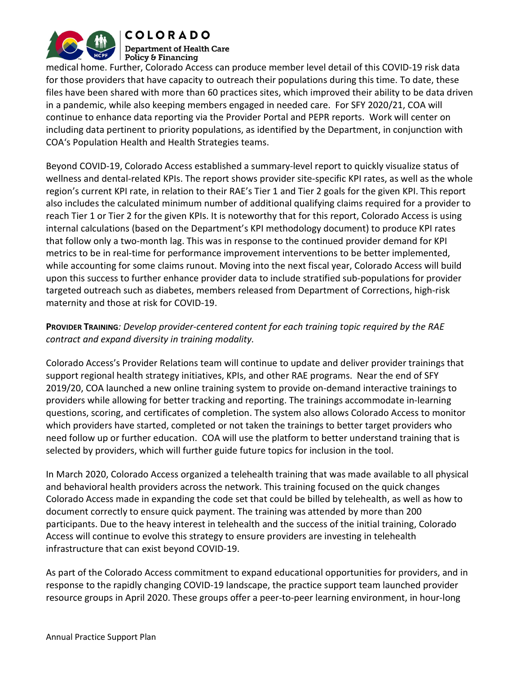

**COLORADO Department of Health Care** Policy & Financing

medical home. Further, Colorado Access can produce member level detail of this COVID-19 risk data for those providers that have capacity to outreach their populations during this time. To date, these files have been shared with more than 60 practices sites, which improved their ability to be data driven in a pandemic, while also keeping members engaged in needed care. For SFY 2020/21, COA will continue to enhance data reporting via the Provider Portal and PEPR reports. Work will center on including data pertinent to priority populations, as identified by the Department, in conjunction with COA's Population Health and Health Strategies teams.

Beyond COVID-19, Colorado Access established a summary-level report to quickly visualize status of wellness and dental-related KPIs. The report shows provider site-specific KPI rates, as well as the whole region's current KPI rate, in relation to their RAE's Tier 1 and Tier 2 goals for the given KPI. This report also includes the calculated minimum number of additional qualifying claims required for a provider to reach Tier 1 or Tier 2 for the given KPIs. It is noteworthy that for this report, Colorado Access is using internal calculations (based on the Department's KPI methodology document) to produce KPI rates that follow only a two-month lag. This was in response to the continued provider demand for KPI metrics to be in real-time for performance improvement interventions to be better implemented, while accounting for some claims runout. Moving into the next fiscal year, Colorado Access will build upon this success to further enhance provider data to include stratified sub-populations for provider targeted outreach such as diabetes, members released from Department of Corrections, high-risk maternity and those at risk for COVID-19.

# PROVIDER TRAINING: Develop provider-centered content for each training topic required by the RAE contract and expand diversity in training modality.

Colorado Access's Provider Relations team will continue to update and deliver provider trainings that support regional health strategy initiatives, KPIs, and other RAE programs. Near the end of SFY 2019/20, COA launched a new online training system to provide on-demand interactive trainings to providers while allowing for better tracking and reporting. The trainings accommodate in-learning questions, scoring, and certificates of completion. The system also allows Colorado Access to monitor which providers have started, completed or not taken the trainings to better target providers who need follow up or further education. COA will use the platform to better understand training that is selected by providers, which will further guide future topics for inclusion in the tool.

In March 2020, Colorado Access organized a telehealth training that was made available to all physical and behavioral health providers across the network. This training focused on the quick changes Colorado Access made in expanding the code set that could be billed by telehealth, as well as how to document correctly to ensure quick payment. The training was attended by more than 200 participants. Due to the heavy interest in telehealth and the success of the initial training, Colorado Access will continue to evolve this strategy to ensure providers are investing in telehealth infrastructure that can exist beyond COVID-19.

As part of the Colorado Access commitment to expand educational opportunities for providers, and in response to the rapidly changing COVID-19 landscape, the practice support team launched provider resource groups in April 2020. These groups offer a peer-to-peer learning environment, in hour-long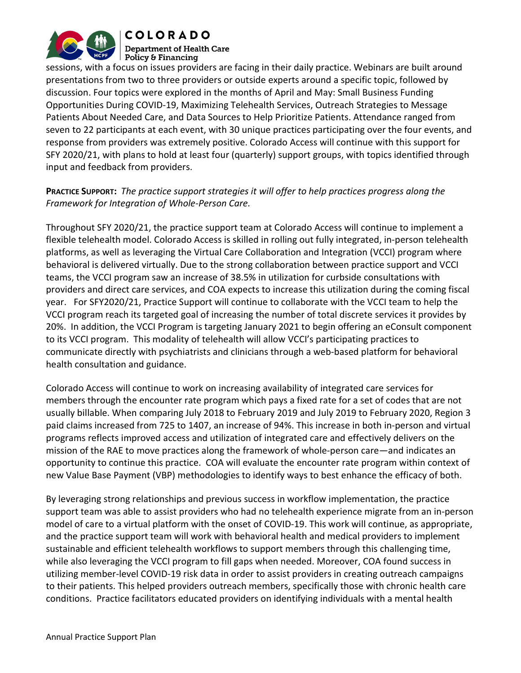

**COLORADO Department of Health Care** Policy & Financing

sessions, with a focus on issues providers are facing in their daily practice. Webinars are built around presentations from two to three providers or outside experts around a specific topic, followed by discussion. Four topics were explored in the months of April and May: Small Business Funding Opportunities During COVID-19, Maximizing Telehealth Services, Outreach Strategies to Message Patients About Needed Care, and Data Sources to Help Prioritize Patients. Attendance ranged from seven to 22 participants at each event, with 30 unique practices participating over the four events, and response from providers was extremely positive. Colorado Access will continue with this support for SFY 2020/21, with plans to hold at least four (quarterly) support groups, with topics identified through input and feedback from providers.

## PRACTICE SUPPORT: The practice support strategies it will offer to help practices progress along the Framework for Integration of Whole-Person Care.

Throughout SFY 2020/21, the practice support team at Colorado Access will continue to implement a flexible telehealth model. Colorado Access is skilled in rolling out fully integrated, in-person telehealth platforms, as well as leveraging the Virtual Care Collaboration and Integration (VCCI) program where behavioral is delivered virtually. Due to the strong collaboration between practice support and VCCI teams, the VCCI program saw an increase of 38.5% in utilization for curbside consultations with providers and direct care services, and COA expects to increase this utilization during the coming fiscal year. For SFY2020/21, Practice Support will continue to collaborate with the VCCI team to help the VCCI program reach its targeted goal of increasing the number of total discrete services it provides by 20%. In addition, the VCCI Program is targeting January 2021 to begin offering an eConsult component to its VCCI program. This modality of telehealth will allow VCCI's participating practices to communicate directly with psychiatrists and clinicians through a web-based platform for behavioral health consultation and guidance.

Colorado Access will continue to work on increasing availability of integrated care services for members through the encounter rate program which pays a fixed rate for a set of codes that are not usually billable. When comparing July 2018 to February 2019 and July 2019 to February 2020, Region 3 paid claims increased from 725 to 1407, an increase of 94%. This increase in both in-person and virtual programs reflects improved access and utilization of integrated care and effectively delivers on the mission of the RAE to move practices along the framework of whole-person care—and indicates an opportunity to continue this practice. COA will evaluate the encounter rate program within context of new Value Base Payment (VBP) methodologies to identify ways to best enhance the efficacy of both.

By leveraging strong relationships and previous success in workflow implementation, the practice support team was able to assist providers who had no telehealth experience migrate from an in-person model of care to a virtual platform with the onset of COVID-19. This work will continue, as appropriate, and the practice support team will work with behavioral health and medical providers to implement sustainable and efficient telehealth workflows to support members through this challenging time, while also leveraging the VCCI program to fill gaps when needed. Moreover, COA found success in utilizing member-level COVID-19 risk data in order to assist providers in creating outreach campaigns to their patients. This helped providers outreach members, specifically those with chronic health care conditions. Practice facilitators educated providers on identifying individuals with a mental health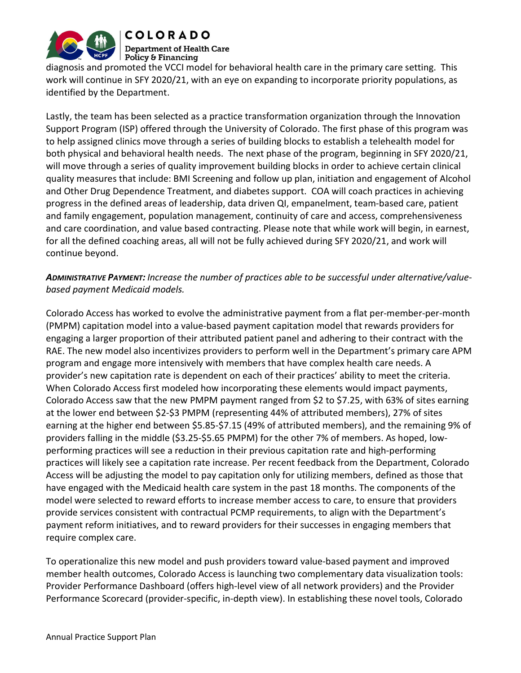

# **COLORADO**

**Department of Health Care** Policy & Financing

diagnosis and promoted the VCCI model for behavioral health care in the primary care setting. This work will continue in SFY 2020/21, with an eye on expanding to incorporate priority populations, as identified by the Department.

Lastly, the team has been selected as a practice transformation organization through the Innovation Support Program (ISP) offered through the University of Colorado. The first phase of this program was to help assigned clinics move through a series of building blocks to establish a telehealth model for both physical and behavioral health needs. The next phase of the program, beginning in SFY 2020/21, will move through a series of quality improvement building blocks in order to achieve certain clinical quality measures that include: BMI Screening and follow up plan, initiation and engagement of Alcohol and Other Drug Dependence Treatment, and diabetes support. COA will coach practices in achieving progress in the defined areas of leadership, data driven QI, empanelment, team-based care, patient and family engagement, population management, continuity of care and access, comprehensiveness and care coordination, and value based contracting. Please note that while work will begin, in earnest, for all the defined coaching areas, all will not be fully achieved during SFY 2020/21, and work will continue beyond.

# ADMINISTRATIVE PAYMENT: Increase the number of practices able to be successful under alternative/valuebased payment Medicaid models.

Colorado Access has worked to evolve the administrative payment from a flat per-member-per-month (PMPM) capitation model into a value-based payment capitation model that rewards providers for engaging a larger proportion of their attributed patient panel and adhering to their contract with the RAE. The new model also incentivizes providers to perform well in the Department's primary care APM program and engage more intensively with members that have complex health care needs. A provider's new capitation rate is dependent on each of their practices' ability to meet the criteria. When Colorado Access first modeled how incorporating these elements would impact payments, Colorado Access saw that the new PMPM payment ranged from \$2 to \$7.25, with 63% of sites earning at the lower end between \$2-\$3 PMPM (representing 44% of attributed members), 27% of sites earning at the higher end between \$5.85-\$7.15 (49% of attributed members), and the remaining 9% of providers falling in the middle (\$3.25-\$5.65 PMPM) for the other 7% of members. As hoped, lowperforming practices will see a reduction in their previous capitation rate and high-performing practices will likely see a capitation rate increase. Per recent feedback from the Department, Colorado Access will be adjusting the model to pay capitation only for utilizing members, defined as those that have engaged with the Medicaid health care system in the past 18 months. The components of the model were selected to reward efforts to increase member access to care, to ensure that providers provide services consistent with contractual PCMP requirements, to align with the Department's payment reform initiatives, and to reward providers for their successes in engaging members that require complex care.

To operationalize this new model and push providers toward value-based payment and improved member health outcomes, Colorado Access is launching two complementary data visualization tools: Provider Performance Dashboard (offers high-level view of all network providers) and the Provider Performance Scorecard (provider-specific, in-depth view). In establishing these novel tools, Colorado